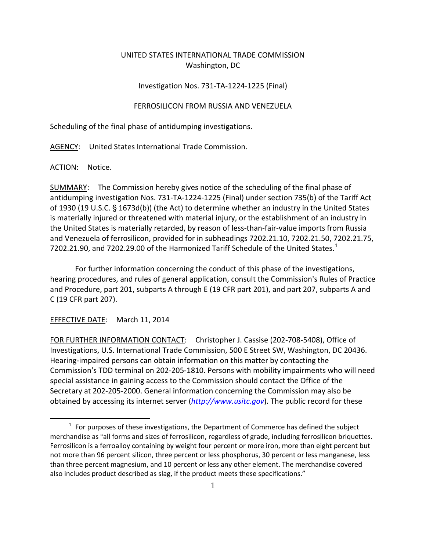## UNITED STATES INTERNATIONAL TRADE COMMISSION Washington, DC

## Investigation Nos. 731-TA-1224-1225 (Final)

## FERROSILICON FROM RUSSIA AND VENEZUELA

Scheduling of the final phase of antidumping investigations.

AGENCY: United States International Trade Commission.

ACTION: Notice.

SUMMARY: The Commission hereby gives notice of the scheduling of the final phase of antidumping investigation Nos. 731-TA-1224-1225 (Final) under section 735(b) of the Tariff Act of 1930 (19 U.S.C.  $\S$  1673d(b)) (the Act) to determine whether an industry in the United States is materially injured or threatened with material injury, or the establishment of an industry in the United States is materially retarded, by reason of less-than-fair-value imports from Russia and Venezuela of ferrosilicon, provided for in subheadings 7202.21.10, 7202.21.50, 7202.21.75, 7202.2[1](#page-0-0).90, and 7202.29.00 of the Harmonized Tariff Schedule of the United States. $1$ 

For further information concerning the conduct of this phase of the investigations, hearing procedures, and rules of general application, consult the Commission's Rules of Practice and Procedure, part 201, subparts A through E (19 CFR part 201), and part 207, subparts A and C (19 CFR part 207).

## EFFECTIVE DATE: March 11, 2014

 $\overline{a}$ 

FOR FURTHER INFORMATION CONTACT: Christopher J. Cassise (202-708-5408), Office of Investigations, U.S. International Trade Commission, 500 E Street SW, Washington, DC 20436. Hearing-impaired persons can obtain information on this matter by contacting the Commission's TDD terminal on 202-205-1810. Persons with mobility impairments who will need special assistance in gaining access to the Commission should contact the Office of the Secretary at 202-205-2000. General information concerning the Commission may also be obtained by accessing its internet server (*[http://www.usitc.gov](http://www.usitc.gov/)*). The public record for these

<span id="page-0-0"></span> $1$  For purposes of these investigations, the Department of Commerce has defined the subject merchandise as "all forms and sizes of ferrosilicon, regardless of grade, including ferrosilicon briquettes. Ferrosilicon is a ferroalloy containing by weight four percent or more iron, more than eight percent but not more than 96 percent silicon, three percent or less phosphorus, 30 percent or less manganese, less than three percent magnesium, and 10 percent or less any other element. The merchandise covered also includes product described as slag, if the product meets these specifications."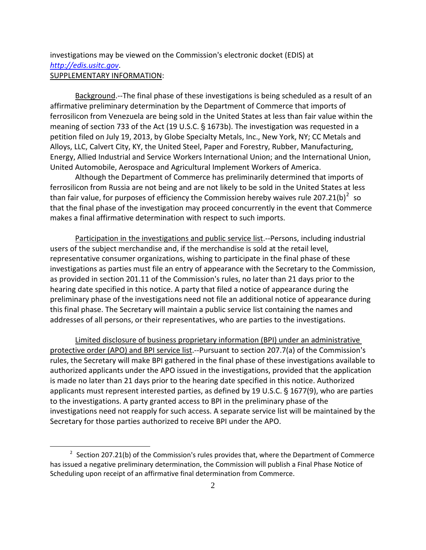investigations may be viewed on the Commission's electronic docket (EDIS) at *[http://edis.usitc.gov](http://edis.usitc.gov/)*. SUPPLEMENTARY INFORMATION:

Background.--The final phase of these investigations is being scheduled as a result of an affirmative preliminary determination by the Department of Commerce that imports of ferrosilicon from Venezuela are being sold in the United States at less than fair value within the meaning of section 733 of the Act (19 U.S.C.  $\S$  1673b). The investigation was requested in a petition filed on July 19, 2013, by Globe Specialty Metals, Inc., New York, NY; CC Metals and Alloys, LLC, Calvert City, KY, the United Steel, Paper and Forestry, Rubber, Manufacturing, Energy, Allied Industrial and Service Workers International Union; and the International Union, United Automobile, Aerospace and Agricultural Implement Workers of America.

Although the Department of Commerce has preliminarily determined that imports of ferrosilicon from Russia are not being and are not likely to be sold in the United States at less than fair value, for purposes of efficiency the Commission hereby waives rule [2](#page-1-0)07.21(b)<sup>2</sup> so that the final phase of the investigation may proceed concurrently in the event that Commerce makes a final affirmative determination with respect to such imports.

Participation in the investigations and public service list.--Persons, including industrial users of the subject merchandise and, if the merchandise is sold at the retail level, representative consumer organizations, wishing to participate in the final phase of these investigations as parties must file an entry of appearance with the Secretary to the Commission, as provided in section 201.11 of the Commission's rules, no later than 21 days prior to the hearing date specified in this notice. A party that filed a notice of appearance during the preliminary phase of the investigations need not file an additional notice of appearance during this final phase. The Secretary will maintain a public service list containing the names and addresses of all persons, or their representatives, who are parties to the investigations.

Limited disclosure of business proprietary information (BPI) under an administrative protective order (APO) and BPI service list.--Pursuant to section 207.7(a) of the Commission's rules, the Secretary will make BPI gathered in the final phase of these investigations available to authorized applicants under the APO issued in the investigations, provided that the application is made no later than 21 days prior to the hearing date specified in this notice. Authorized applicants must represent interested parties, as defined by 19 U.S.C.  $\S$  1677(9), who are parties to the investigations. A party granted access to BPI in the preliminary phase of the investigations need not reapply for such access. A separate service list will be maintained by the Secretary for those parties authorized to receive BPI under the APO.

 $\overline{a}$ 

<span id="page-1-0"></span> $2$  Section 207.21(b) of the Commission's rules provides that, where the Department of Commerce has issued a negative preliminary determination, the Commission will publish a Final Phase Notice of Scheduling upon receipt of an affirmative final determination from Commerce.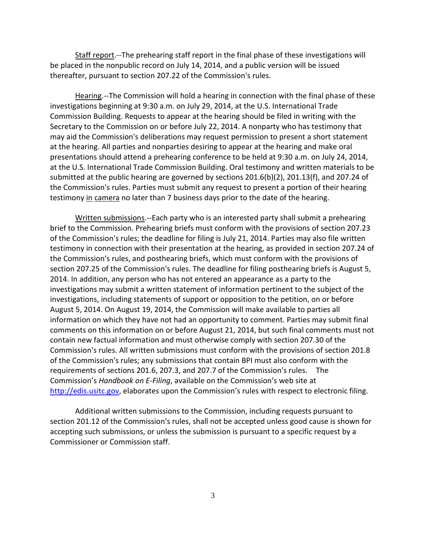Staff report.--The prehearing staff report in the final phase of these investigations will be placed in the nonpublic record on July 14, 2014, and a public version will be issued thereafter, pursuant to section 207.22 of the Commission's rules.

Hearing.--The Commission will hold a hearing in connection with the final phase of these investigations beginning at 9:30 a.m. on July 29, 2014, at the U.S. International Trade Commission Building. Requests to appear at the hearing should be filed in writing with the Secretary to the Commission on or before July 22, 2014. A nonparty who has testimony that may aid the Commission's deliberations may request permission to present a short statement at the hearing. All parties and nonparties desiring to appear at the hearing and make oral presentations should attend a prehearing conference to be held at 9:30 a.m. on July 24, 2014, at the U.S. International Trade Commission Building. Oral testimony and written materials to be submitted at the public hearing are governed by sections 201.6(b)(2), 201.13(f), and 207.24 of the Commission's rules. Parties must submit any request to present a portion of their hearing testimony in camera no later than 7 business days prior to the date of the hearing.

Written submissions.--Each party who is an interested party shall submit a prehearing brief to the Commission. Prehearing briefs must conform with the provisions of section 207.23 of the Commission's rules; the deadline for filing is July 21, 2014. Parties may also file written testimony in connection with their presentation at the hearing, as provided in section 207.24 of the Commission's rules, and posthearing briefs, which must conform with the provisions of section 207.25 of the Commission's rules. The deadline for filing posthearing briefs is August 5, 2014. In addition, any person who has not entered an appearance as a party to the investigations may submit a written statement of information pertinent to the subject of the investigations, including statements of support or opposition to the petition, on or before August 5, 2014. On August 19, 2014, the Commission will make available to parties all information on which they have not had an opportunity to comment. Parties may submit final comments on this information on or before August 21, 2014, but such final comments must not contain new factual information and must otherwise comply with section 207.30 of the Commission's rules. All written submissions must conform with the provisions of section 201.8 of the Commission's rules; any submissions that contain BPI must also conform with the requirements of sections 201.6, 207.3, and 207.7 of the Commission's rules. The Commission's *Handbook on E-Filing*, available on the Commission's web site at [http://edis.usitc.gov,](http://edis.usitc.gov/) elaborates upon the Commission's rules with respect to electronic filing.

Additional written submissions to the Commission, including requests pursuant to section 201.12 of the Commission's rules, shall not be accepted unless good cause is shown for accepting such submissions, or unless the submission is pursuant to a specific request by a Commissioner or Commission staff.